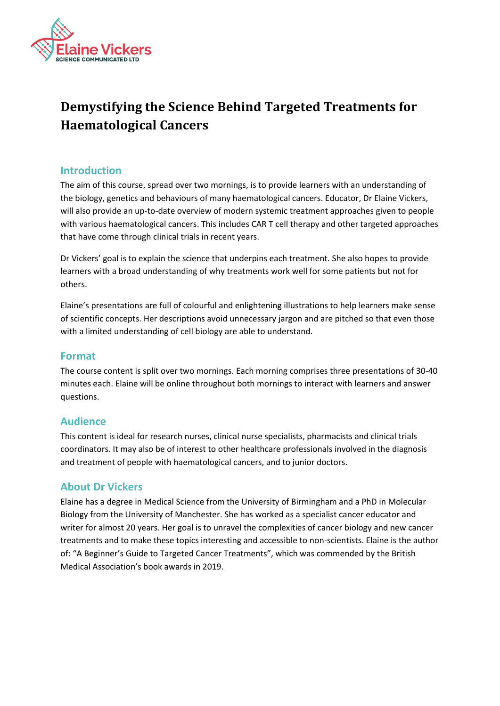

# **Demystifying the Science Behind Targeted Treatments for Haematological Cancers**

# **Introduction**

The aim of this course, spread over two mornings, is to provide learners with an understanding of the biology, genetics and behaviours of many haematological cancers. Educator, Dr Elaine Vickers, will also provide an up-to-date overview of modern systemic treatment approaches given to people with various haematological cancers. This includes CAR T cell therapy and other targeted approaches that have come through clinical trials in recent years.

Dr Vickers' goal is to explain the science that underpins each treatment. She also hopes to provide learners with a broad understanding of why treatments work well for some patients but not for others.

Elaine's presentations are full of colourful and enlightening illustrations to help learners make sense of scientific concepts. Her descriptions avoid unnecessary jargon and are pitched so that even those with a limited understanding of cell biology are able to understand.

# **Format**

The course content is split over two mornings. Each morning comprises three presentations of 30-40 minutes each. Elaine will be online throughout both mornings to interact with learners and answer questions.

# **Audience**

This content is ideal for research nurses, clinical nurse specialists, pharmacists and clinical trials coordinators. It may also be of interest to other healthcare professionals involved in the diagnosis and treatment of people with haematological cancers, and to junior doctors.

# **About Dr Vickers**

Elaine has a degree in Medical Science from the University of Birmingham and a PhD in Molecular Biology from the University of Manchester. She has worked as a specialist cancer educator and writer for almost 20 years. Her goal is to unravel the complexities of cancer biology and new cancer treatments and to make these topics interesting and accessible to non-scientists. Elaine is the author of: "A Beginner's Guide to Targeted Cancer Treatments", which was commended by the British Medical Association's book awards in 2019.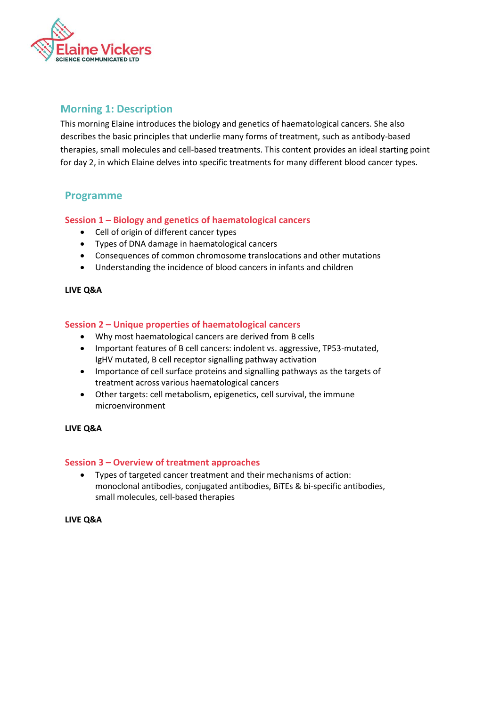

# **Morning 1: Description**

This morning Elaine introduces the biology and genetics of haematological cancers. She also describes the basic principles that underlie many forms of treatment, such as antibody-based therapies, small molecules and cell-based treatments. This content provides an ideal starting point for day 2, in which Elaine delves into specific treatments for many different blood cancer types.

# **Programme**

#### **Session 1 – Biology and genetics of haematological cancers**

- Cell of origin of different cancer types
- Types of DNA damage in haematological cancers
- Consequences of common chromosome translocations and other mutations
- Understanding the incidence of blood cancers in infants and children

#### **LIVE Q&A**

#### **Session 2 – Unique properties of haematological cancers**

- Why most haematological cancers are derived from B cells
- Important features of B cell cancers: indolent vs. aggressive, TP53-mutated, IgHV mutated, B cell receptor signalling pathway activation
- Importance of cell surface proteins and signalling pathways as the targets of treatment across various haematological cancers
- Other targets: cell metabolism, epigenetics, cell survival, the immune microenvironment

#### **LIVE Q&A**

#### **Session 3 – Overview of treatment approaches**

• Types of targeted cancer treatment and their mechanisms of action: monoclonal antibodies, conjugated antibodies, BiTEs & bi-specific antibodies, small molecules, cell-based therapies

#### **LIVE Q&A**